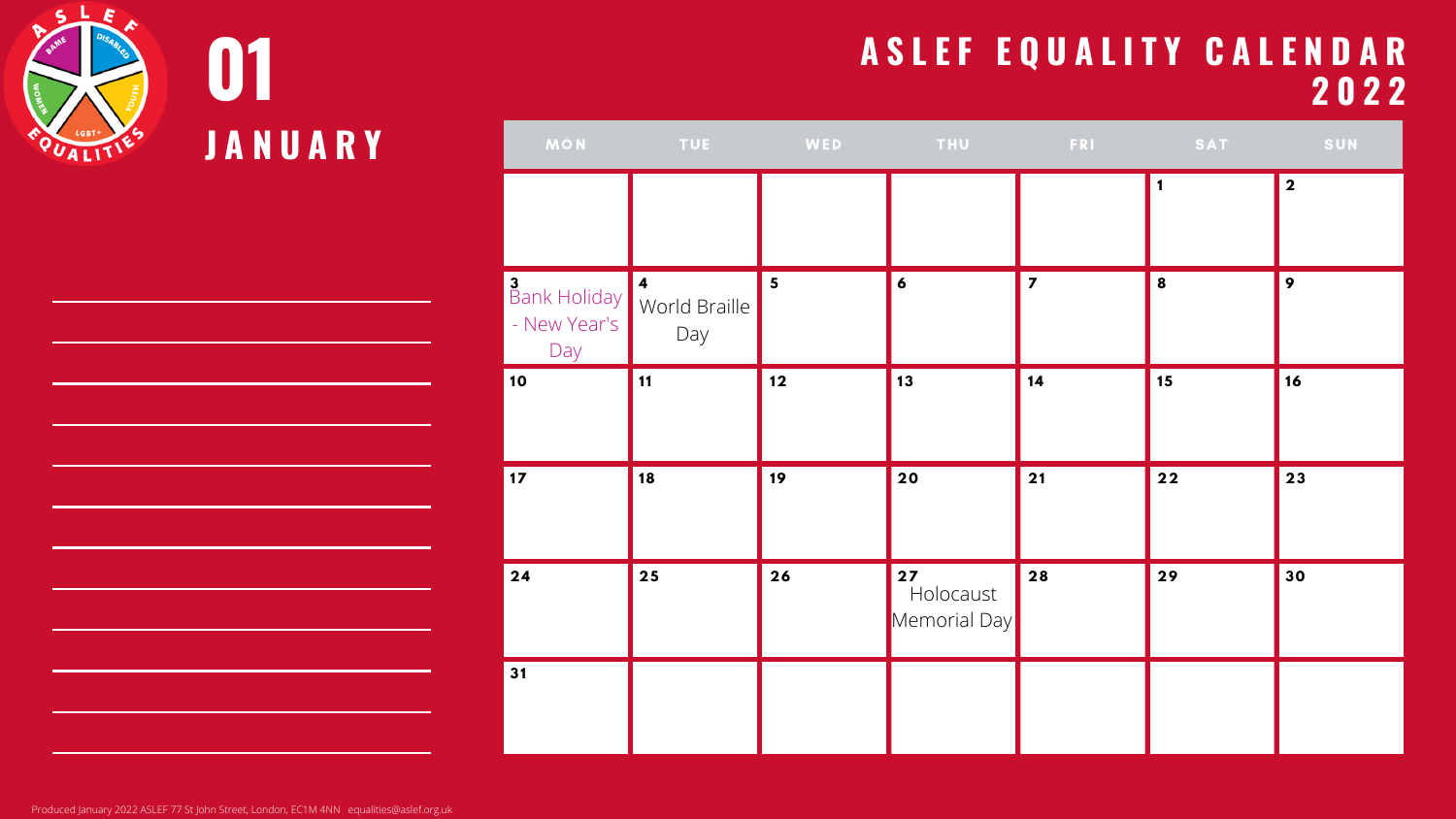



| <b>MON</b>                                               | <b>Example 19 TUE</b> | <b>Experience MED</b> | <b>Example 2018 THU READER FRIET SATE AND SATE AND SATE AND SATE AND SATE AND SATE AND SATE AND SATE AND SATE AND</b> |                         |      | SUN                     |
|----------------------------------------------------------|-----------------------|-----------------------|-----------------------------------------------------------------------------------------------------------------------|-------------------------|------|-------------------------|
|                                                          |                       |                       |                                                                                                                       |                         |      | $\overline{\mathbf{2}}$ |
| Bank Holiday   4<br>World Braille<br>- New Year's<br>Day | Day                   | $5\phantom{1}$        | 6                                                                                                                     | $\overline{\mathbf{z}}$ | 8    | $\boldsymbol{9}$        |
| 10                                                       | $\vert$ 11            | $12$                  | 13                                                                                                                    | 14                      | 15   | 16                      |
| $\vert$ 17                                               | 18                    | 19                    | 20                                                                                                                    | 21                      | $22$ | 23                      |
| 24                                                       | 25                    | 26                    | $27$<br>Holocaust<br>Memorial Day                                                                                     | 28                      | 29   | 30                      |
| 31                                                       |                       |                       |                                                                                                                       |                         |      |                         |

Produced January 2022 ASLEF 77 St John Street, London, EC1M 4NN equalities@aslef.org.uk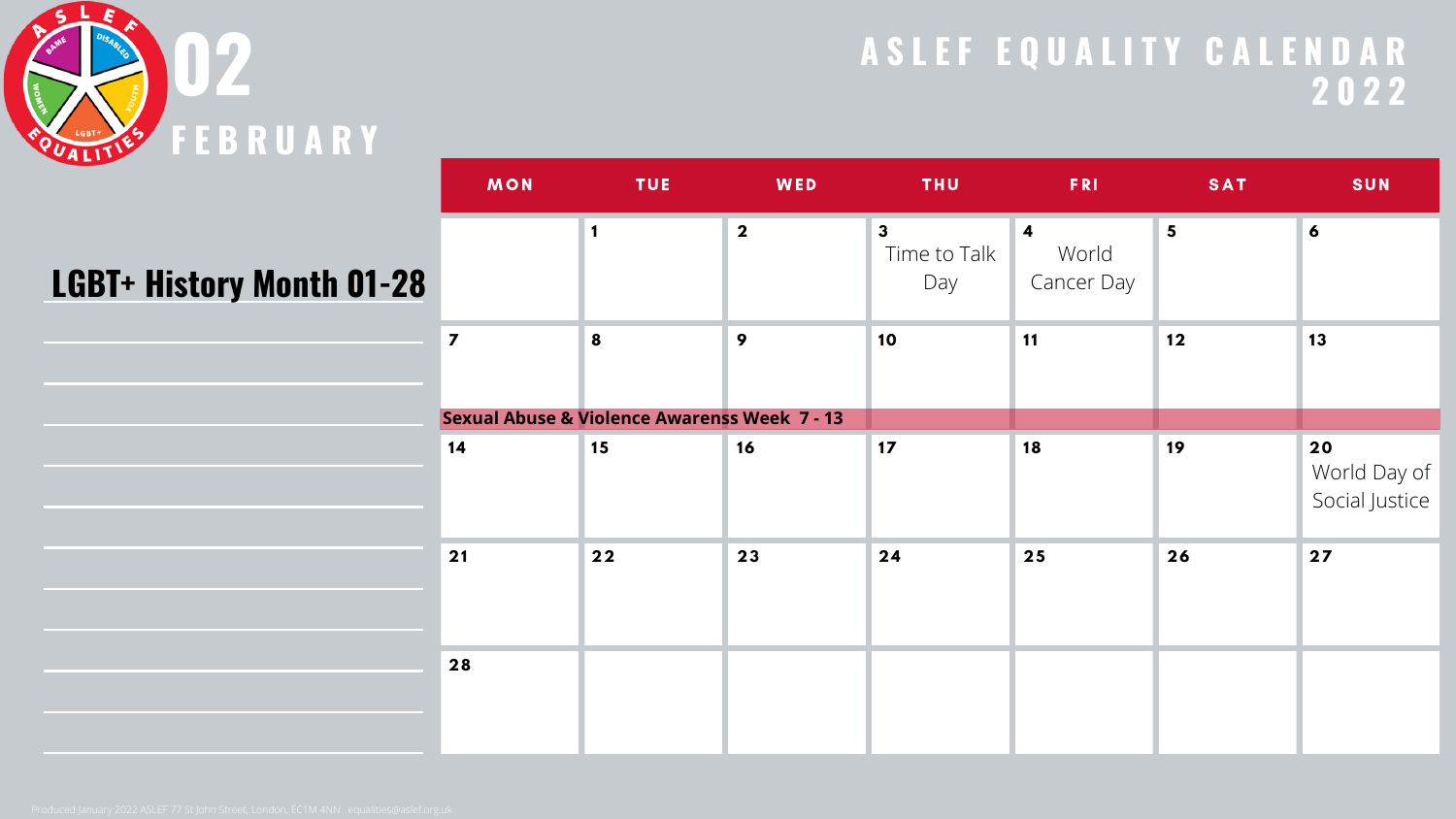

#### **LGBT+ History Month 01-28**

| <b>MON</b>              | <b>TUE</b>                                              | WED              | <b>THU</b>                          | <b>FRI</b>                                            | <b>SAT</b>     | <b>SUN</b>                           |
|-------------------------|---------------------------------------------------------|------------------|-------------------------------------|-------------------------------------------------------|----------------|--------------------------------------|
|                         | $\mathbf 1$                                             | $\boldsymbol{2}$ | $\mathbf{3}$<br>Time to Talk<br>Day | $\overline{\mathbf{4}}$<br>World<br><b>Cancer Day</b> | $5\phantom{1}$ | $\boldsymbol{6}$                     |
| $\overline{\mathbf{z}}$ | 8                                                       | 9                | 10                                  | 11                                                    | $12$           | 13                                   |
|                         | <b>Sexual Abuse &amp; Violence Awarenss Week 7 - 13</b> |                  |                                     |                                                       |                |                                      |
| 14                      | 15                                                      | 16               | 17                                  | 18                                                    | 19             | 20<br>World Day of<br>Social Justice |
| 21                      | $22$                                                    | 23               | 24                                  | 25                                                    | 26             | 27                                   |
| 28                      |                                                         |                  |                                     |                                                       |                |                                      |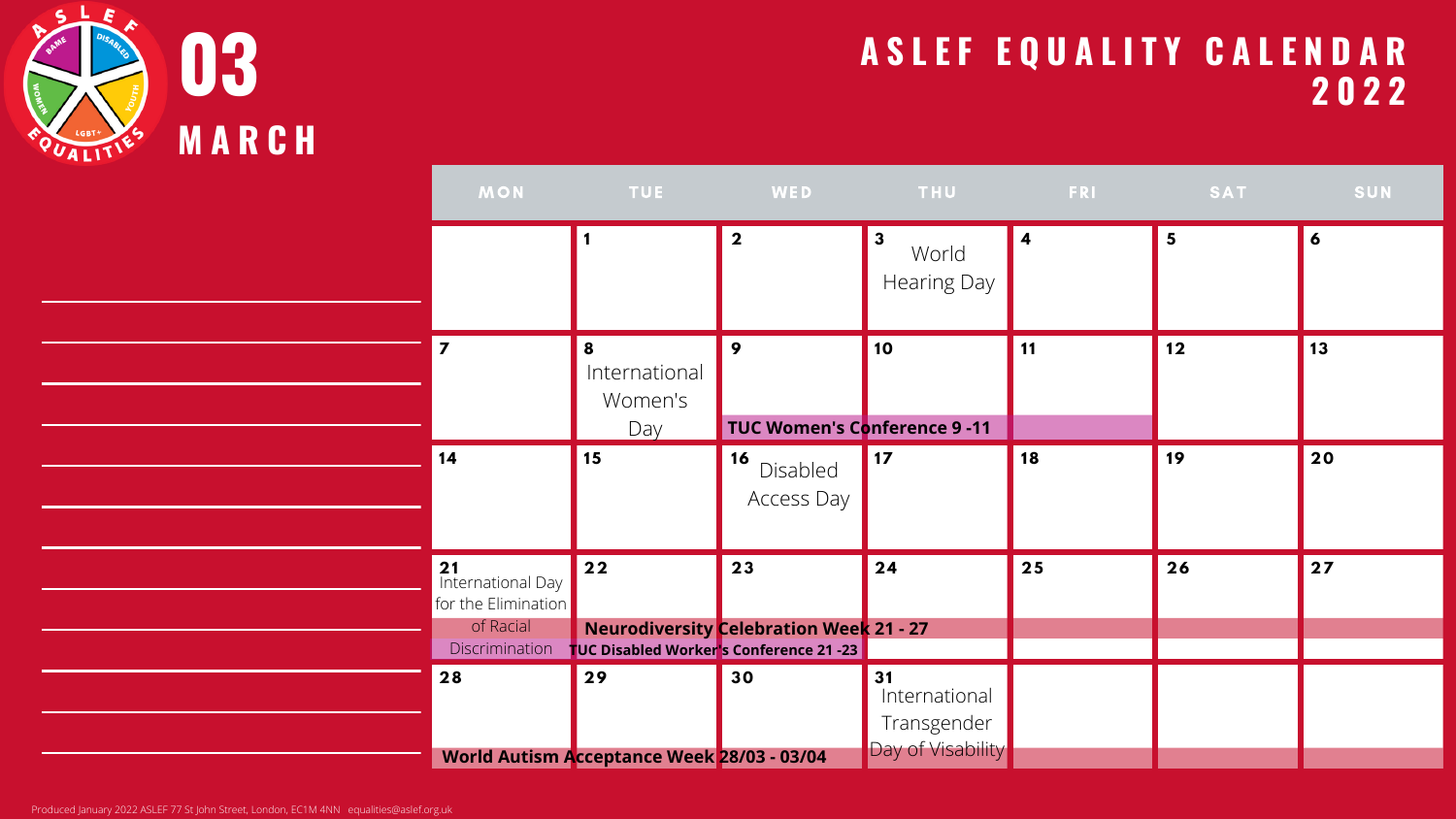

| <b>MON</b>                                                                                         | <b>TUE</b>                                              | WED                                                  | <b>THU</b>                                              | <b>FRI</b> | SAT | SUN       |
|----------------------------------------------------------------------------------------------------|---------------------------------------------------------|------------------------------------------------------|---------------------------------------------------------|------------|-----|-----------|
|                                                                                                    |                                                         | $\overline{\mathbf{2}}$                              | $\overline{3}$<br>World<br>Hearing Day                  | <b>14</b>  | 5   | 6         |
| $\overline{7}$                                                                                     | 8<br>International<br>Women's<br>Day                    | 9<br>TUC Women's Conference 9 -11                    | 10                                                      | 11         | 12  | <b>13</b> |
| 14                                                                                                 | 15                                                      | 16 <br>Disabled<br>Access Day                        | $\vert$ 17                                              | 18         | 19  | 20        |
| <b>21</b><br><b>International Day</b><br>for the Elimination<br>of Racial<br><b>Discrimination</b> | $\boxed{22}$<br>TUC Disabled Worker's Conference 21 -23 | 23<br><b>Neurodiversity Celebration Week 21 - 27</b> | 24                                                      | 25         | 26  | 27        |
| 28                                                                                                 | 29<br><b>World Autism Acceptance Week 28/03 - 03/04</b> | 30                                                   | 31<br>International<br>Transgender<br>Day of Visability |            |     |           |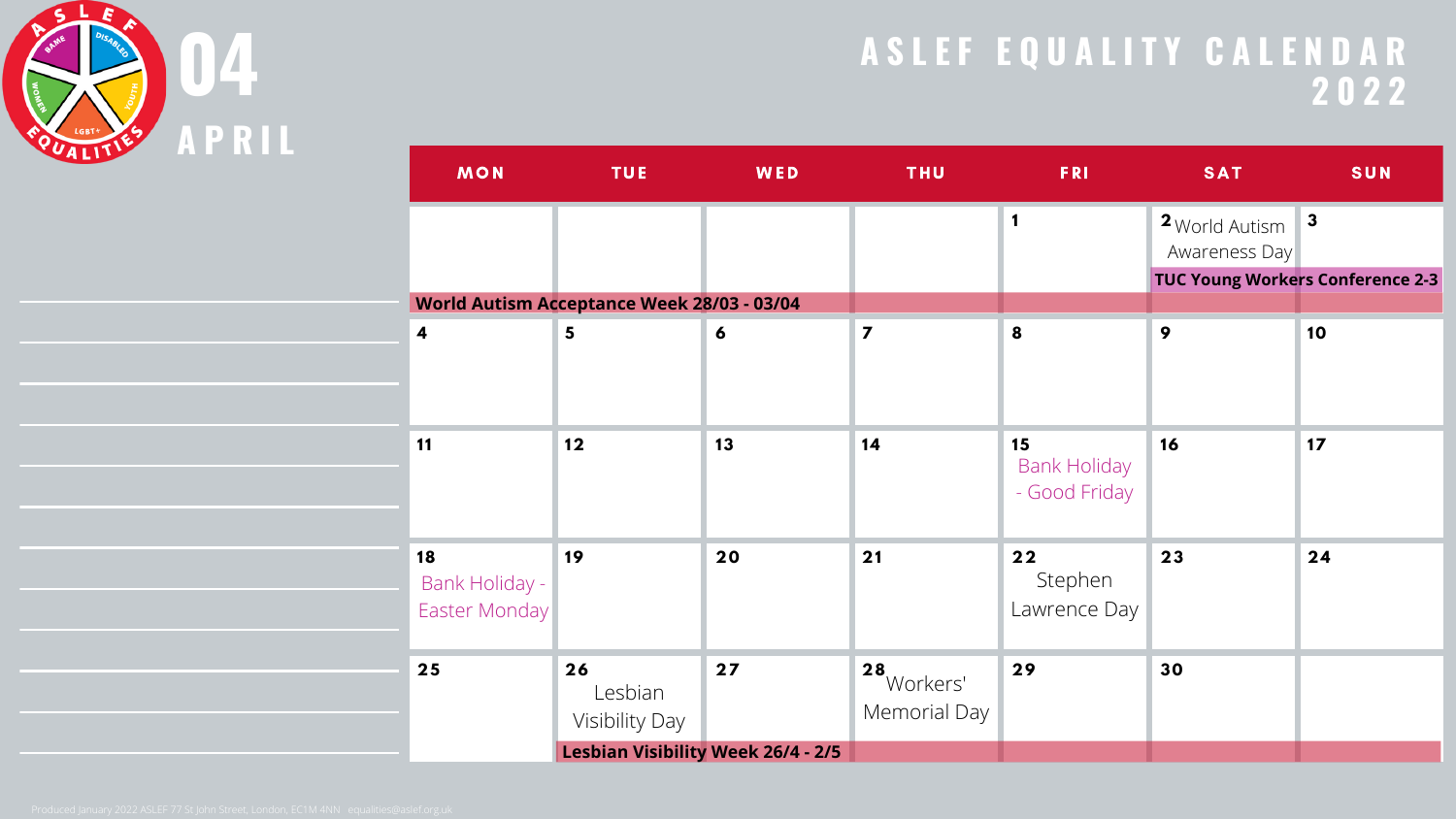

| <b>MON</b>                            | <b>TUE</b>                                        | <b>WED</b> | <b>THU</b>                     | <b>FRI</b>                                 | <b>SAT</b>                      | <b>SUN</b>                              |
|---------------------------------------|---------------------------------------------------|------------|--------------------------------|--------------------------------------------|---------------------------------|-----------------------------------------|
|                                       |                                                   |            |                                | 1                                          | 2 World Autism<br>Awareness Day | $\boldsymbol{3}$                        |
|                                       | <b>World Autism Acceptance Week 28/03 - 03/04</b> |            |                                |                                            |                                 | <b>TUC Young Workers Conference 2-3</b> |
| $\overline{\mathbf{4}}$               | $5\phantom{1}$                                    | 6          | $\overline{\mathbf{z}}$        | 8                                          | 9                               | 10                                      |
|                                       |                                                   |            |                                |                                            |                                 |                                         |
|                                       |                                                   |            |                                |                                            |                                 |                                         |
| 11                                    | 12                                                | 13         | 14                             | 15<br><b>Bank Holiday</b><br>- Good Friday | 16                              | $17$                                    |
|                                       |                                                   |            |                                |                                            |                                 |                                         |
| 18<br>Bank Holiday -<br>Easter Monday | 19                                                | 20         | 21                             | 22<br>Stephen<br>Lawrence Day              | 23                              | 24                                      |
| 25                                    | 26<br>Lesbian<br><b>Visibility Day</b>            | 27         | 28<br>Workers'<br>Memorial Day | 29                                         | 30                              |                                         |
|                                       | <b>Lesbian Visibility Week 26/4 - 2/5</b>         |            |                                |                                            |                                 |                                         |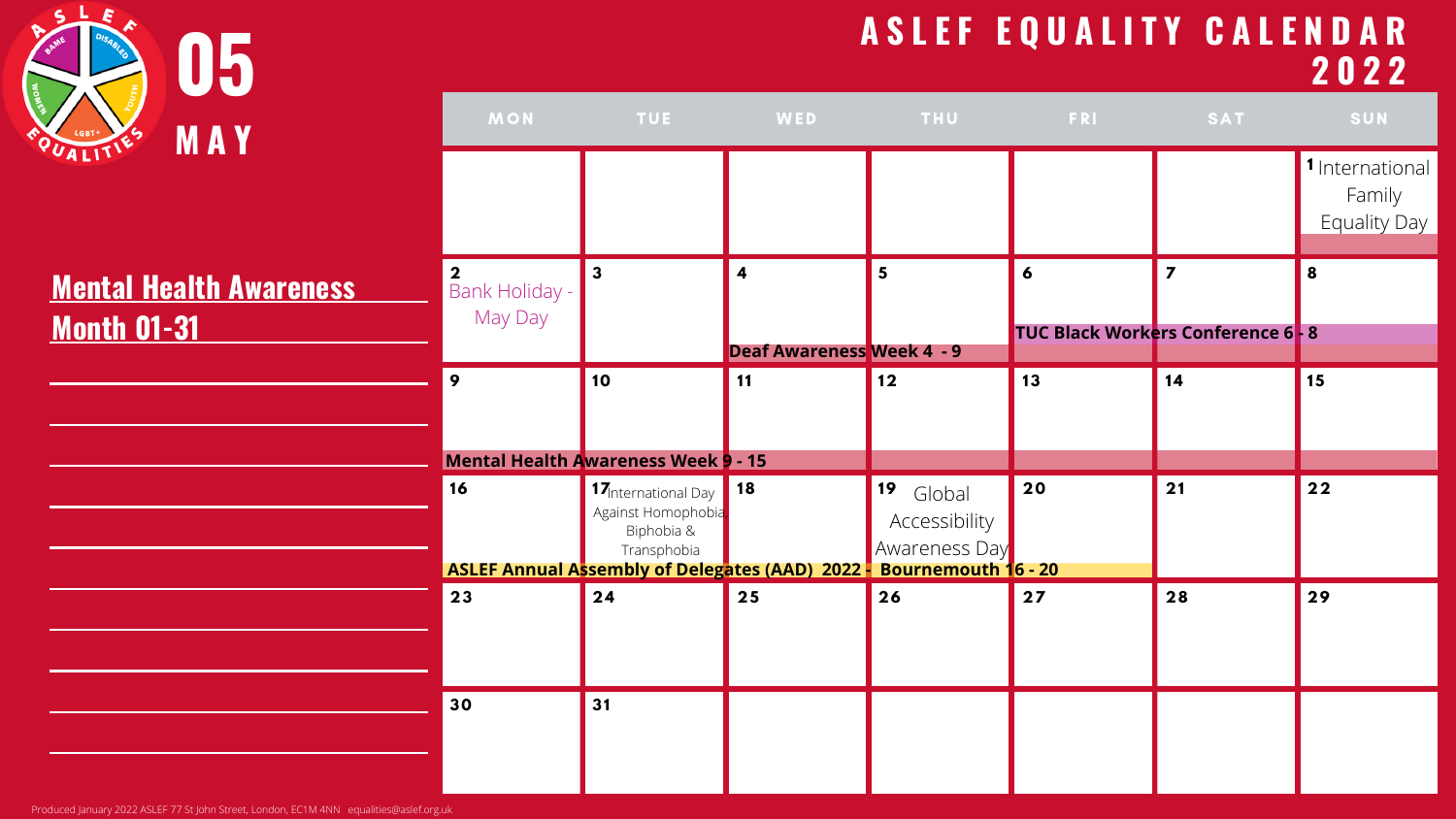| 05                                                   |                           |                                                                                                                                                                  |                                                |                                             |            | ASLEF EQUALITY CALENDAR                 | 2022                                             |
|------------------------------------------------------|---------------------------|------------------------------------------------------------------------------------------------------------------------------------------------------------------|------------------------------------------------|---------------------------------------------|------------|-----------------------------------------|--------------------------------------------------|
| <b>MAY</b>                                           | <b>MON</b>                | <b>TUE</b>                                                                                                                                                       | <b>WED</b>                                     | <b>THU</b>                                  | <b>FRI</b> | <b>SAT</b>                              | <b>SUN</b>                                       |
|                                                      |                           |                                                                                                                                                                  |                                                |                                             |            |                                         | 1 International<br>Family<br><b>Equality Day</b> |
| <b>Mental Health Awareness</b><br><b>Month 01-31</b> | Bank Holiday -<br>May Day | $\overline{\mathbf{3}}$                                                                                                                                          |                                                | 5                                           | 6          | <b>TUC Black Workers Conference 6-8</b> | 8                                                |
|                                                      | 9                         | 10                                                                                                                                                               | <b>Deaf Awareness Week 4 - 9</b><br>$\vert$ 11 | 12                                          | 13         | 14                                      | $\vert$ 15                                       |
|                                                      |                           | <b>Mental Health Awareness Week 9 - 15</b>                                                                                                                       |                                                |                                             |            |                                         |                                                  |
|                                                      | 16                        | <b>17</b> International Day 18<br>Against Homophobia,<br>Biphobia &<br>Transphobia<br><b>ASLEF Annual Assembly of Delegates (AAD) 2022 - Bournemouth 16 - 20</b> |                                                | 19 Global<br>Accessibility<br>Awareness Day | <b>20</b>  | 21                                      | 22                                               |
|                                                      | 23                        | $\sqrt{24}$                                                                                                                                                      | 25                                             | 26                                          | 27         | 28                                      | 29                                               |
|                                                      | 30                        | 31                                                                                                                                                               |                                                |                                             |            |                                         |                                                  |

Produced January 2022 ASLEF 77 St John Street, London, EC1M 4NN equalities@aslef.org.uk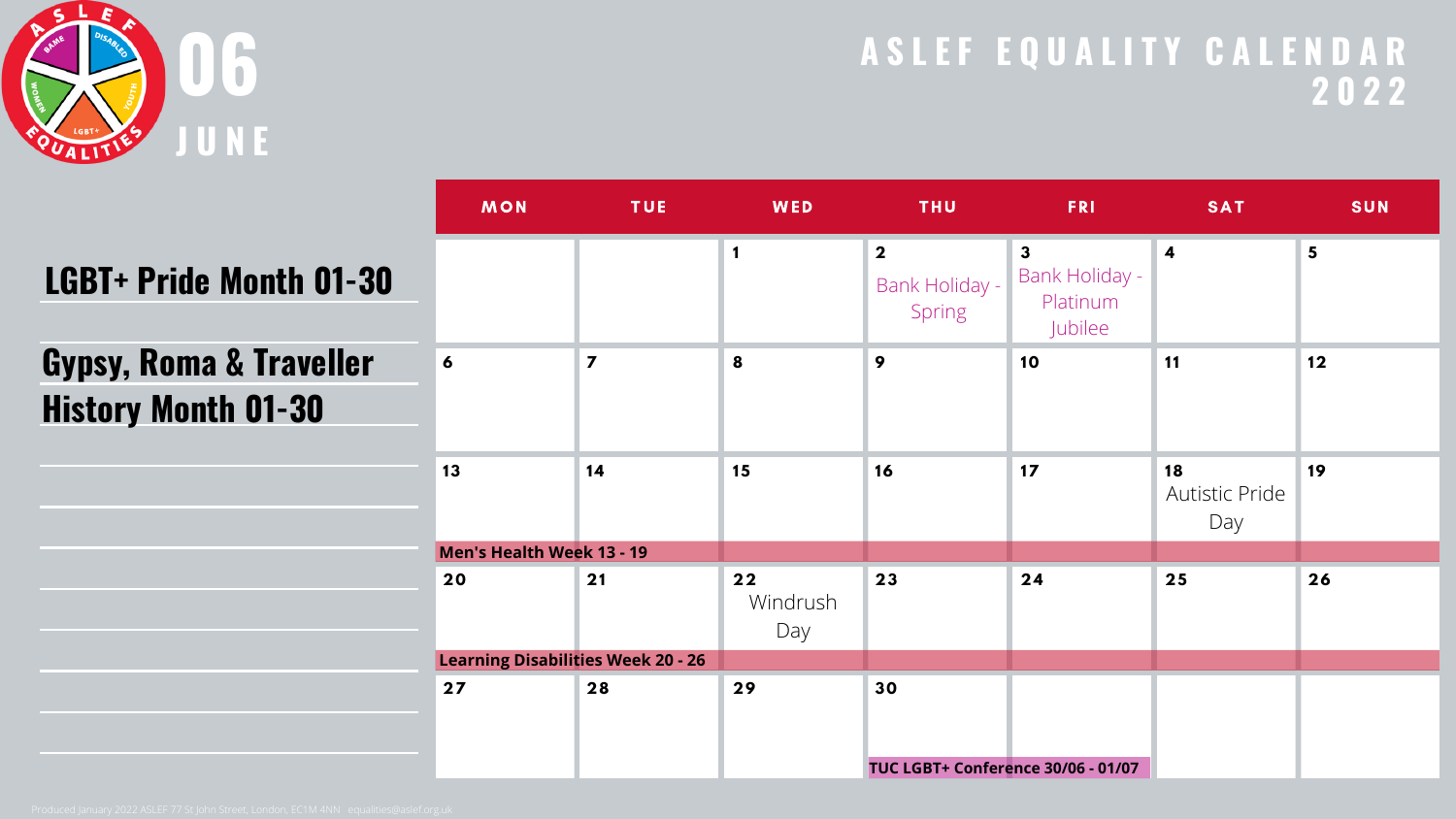

|--|

| <b>MON</b>     | <b>TUE</b>              | <b>WED</b>                                                                    | <b>THU</b>                                          | <b>FRI</b>                                                   | <b>SAT</b>                                | <b>SUN</b>      |
|----------------|-------------------------|-------------------------------------------------------------------------------|-----------------------------------------------------|--------------------------------------------------------------|-------------------------------------------|-----------------|
|                |                         | $\mathbf 1$                                                                   | $\overline{\mathbf{2}}$<br>Bank Holiday -<br>Spring | $\mathbf{3}$<br><b>Bank Holiday -</b><br>Platinum<br>Jubilee | $\overline{\mathbf{4}}$                   | $5\overline{)}$ |
| $\overline{6}$ | $\overline{\mathbf{z}}$ | 8                                                                             | 9                                                   | 10                                                           | <b>11</b>                                 | 12              |
| 13             | 14                      | 15                                                                            | 16                                                  | 17                                                           | 18<br><b>Autistic Pride</b><br>Day        | 19              |
|                |                         |                                                                               |                                                     |                                                              |                                           |                 |
| 20             | 21                      | 22<br>Windrush<br>Day                                                         | 23                                                  | 24                                                           | 25                                        | 26              |
|                |                         |                                                                               |                                                     |                                                              |                                           |                 |
| 27             | 28                      | 29                                                                            | 30                                                  |                                                              |                                           |                 |
|                |                         | <b>Men's Health Week 13 - 19</b><br><b>Learning Disabilities Week 20 - 26</b> |                                                     |                                                              | <b>TUC LGBT+ Conference 30/06 - 01/07</b> |                 |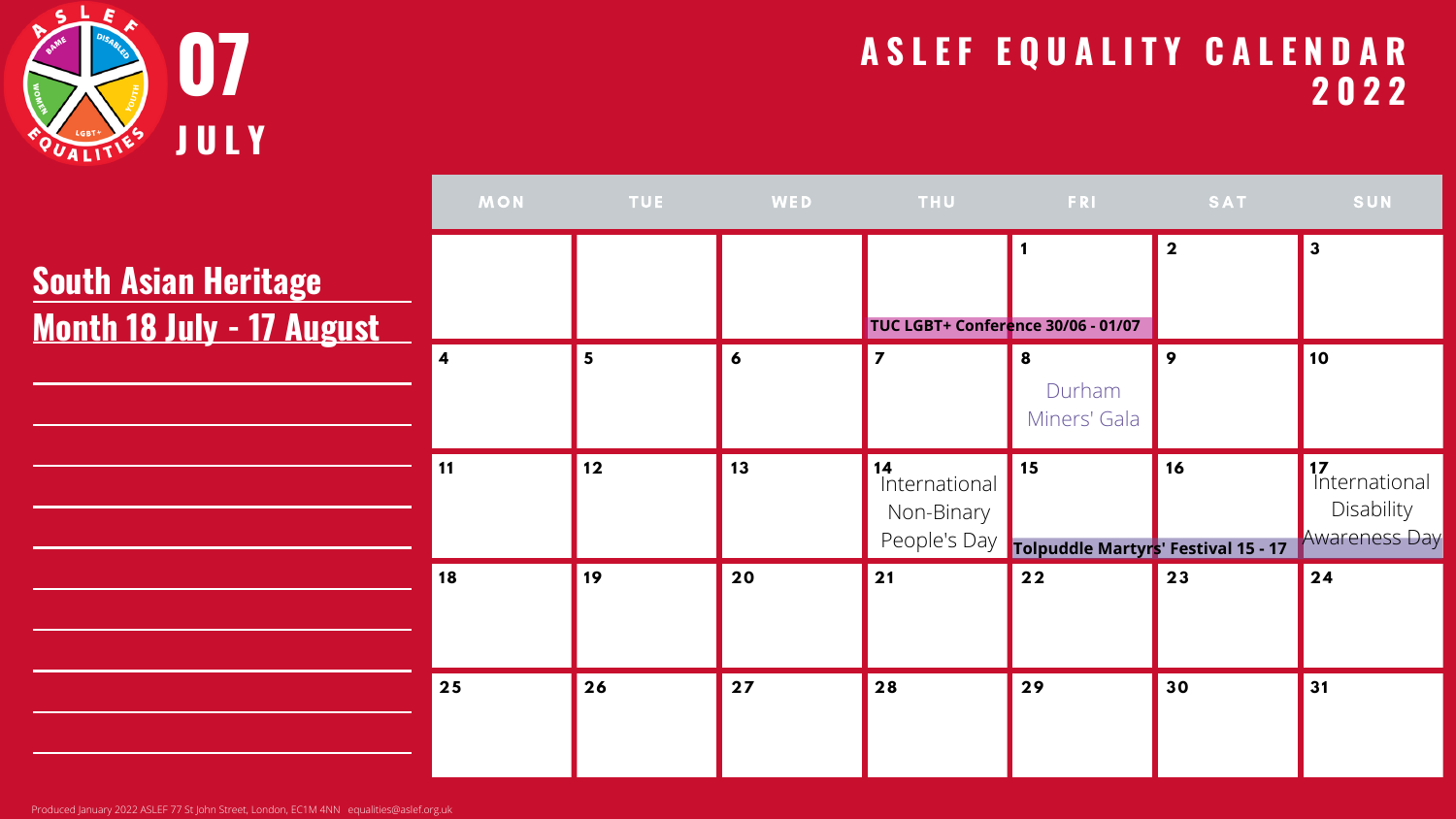

Produced January 2022 ASLEF 77 St John Street, London, EC1M 4NN equalities@aslef.org.uk

| MON                     |    |    |                                    |                                                        | <b>SAT</b>              | SUN                                                       |
|-------------------------|----|----|------------------------------------|--------------------------------------------------------|-------------------------|-----------------------------------------------------------|
|                         |    |    | TUC LGBT+ Conference 30/06 - 01/07 |                                                        | $\overline{\mathbf{2}}$ | $\overline{\mathbf{3}}$                                   |
| $\overline{\mathbf{4}}$ | 5  | 6  | $\overline{\mathbf{z}}$            | 8<br>Durham<br>Miners' Gala                            | 9                       | 10                                                        |
| 11                      | 12 | 13 | 14<br>International<br>Non-Binary  | 15<br>People's Day Tolpuddle Martyrs' Festival 15 - 17 | 16                      | 17<br>International<br>Disability<br><b>Awareness Day</b> |
| 18                      | 19 | 20 | 21                                 | $22$                                                   | 23                      | 24                                                        |
| 25                      | 26 | 27 | 28                                 | 29                                                     | 30                      | 31                                                        |

# **South Asian Heritage Month 18 July - 17 August**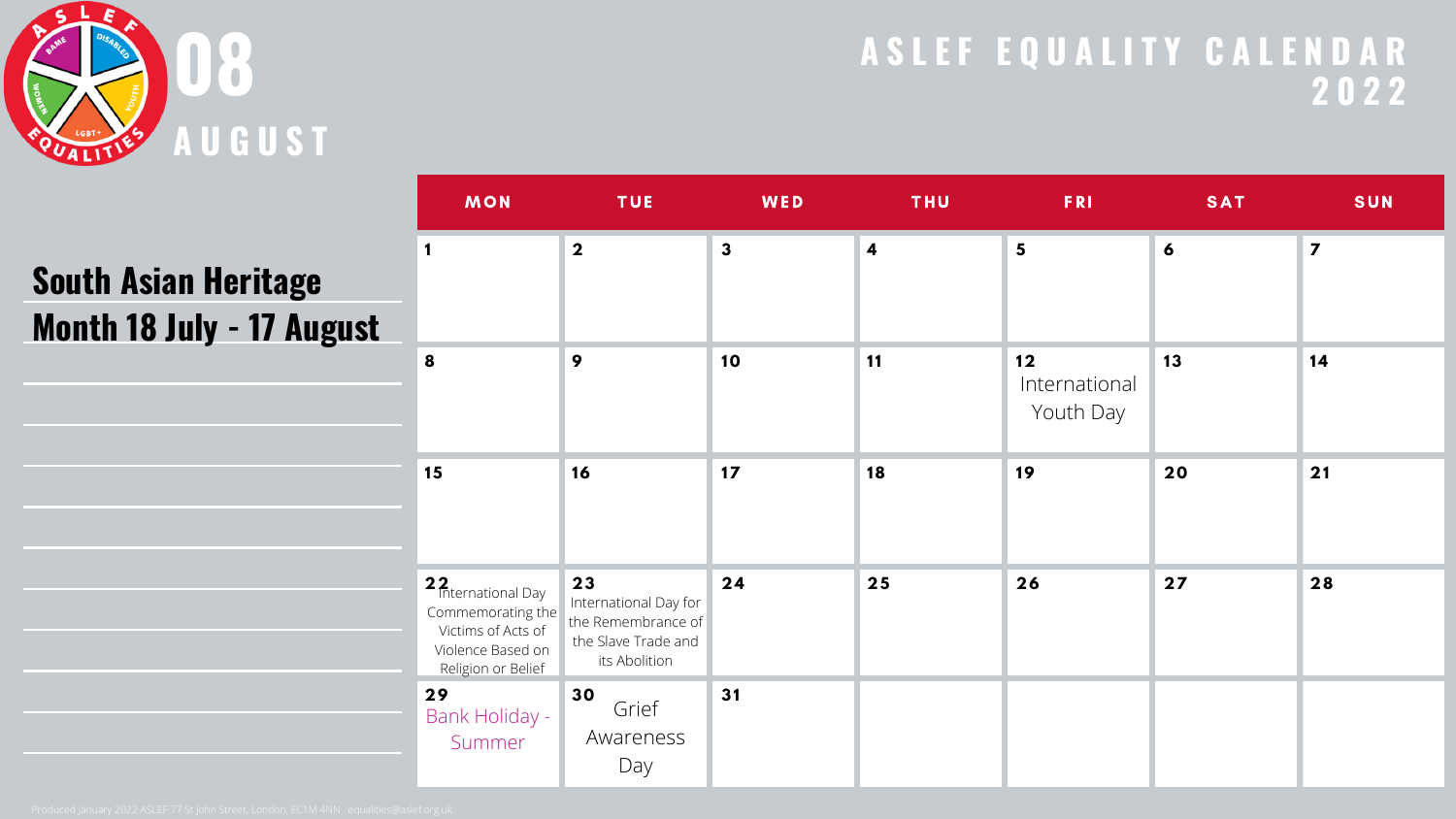

| <b>MON</b>                                                                                                             | <b>TUE</b>                                                                                | WED          | <b>THU</b>              | <b>FRI</b>                       | <b>SAT</b> | <b>SUN</b>              |
|------------------------------------------------------------------------------------------------------------------------|-------------------------------------------------------------------------------------------|--------------|-------------------------|----------------------------------|------------|-------------------------|
| $\mathbf 1$                                                                                                            | $\overline{\mathbf{2}}$                                                                   | $\mathbf{3}$ | $\overline{\mathbf{4}}$ | $\overline{\mathbf{5}}$          | 6          | $\overline{\mathbf{z}}$ |
| 8                                                                                                                      | 9                                                                                         | 10           | <b>11</b>               | 12<br>International<br>Youth Day | 13         | 14                      |
| 15                                                                                                                     | 16                                                                                        | $17$         | 18                      | 19                               | 20         | 21                      |
| 2 <sub>2</sub> International Day<br>Commemorating the<br>Victims of Acts of<br>Violence Based on<br>Religion or Belief | 23<br>International Day for<br>the Remembrance of<br>the Slave Trade and<br>its Abolition | 24           | 25                      | 26                               | 27         | 28                      |
| 29<br><b>Bank Holiday -</b><br>Summer                                                                                  | 30<br>Grief<br>Awareness<br>Day                                                           | 31           |                         |                                  |            |                         |

# **South Asian Heritage Month 18 July - 17 August**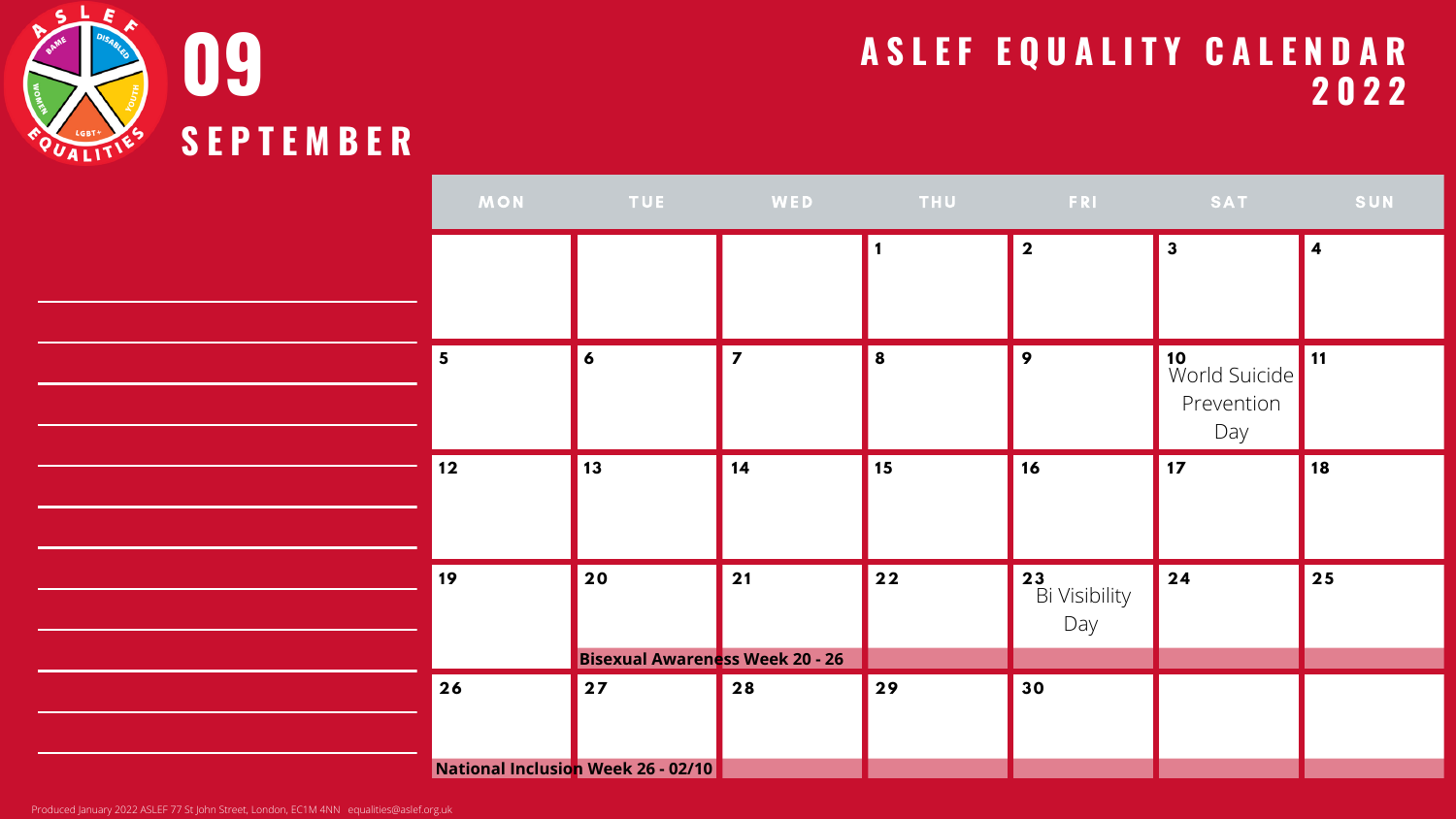

| MON                     | <b>Example 19 TUE</b>                        | <b>Experience MED</b>   | <b>THU</b> | <b>Example 20 FRI SAT SAT AND SAT AND SAT AND SAT AND SAT AND SAT AND SAT AND SAT AND SAT AND SAMPLE OF A START A</b> |                                          | SUN |
|-------------------------|----------------------------------------------|-------------------------|------------|-----------------------------------------------------------------------------------------------------------------------|------------------------------------------|-----|
|                         |                                              |                         |            | $\overline{\mathbf{2}}$                                                                                               | $\mathbf{3}$                             | 4   |
| $\overline{\mathbf{5}}$ | $\boldsymbol{6}$                             | $\overline{\mathbf{z}}$ | 8          | 9                                                                                                                     | 10<br>World Suicide<br>Prevention<br>Day | 11  |
| 12                      | 13                                           | 14                      | 15         | 16                                                                                                                    | 17                                       | 18  |
| 19                      | 20<br><b>Bisexual Awareness Week 20 - 26</b> | 21                      | $22$       | 23<br>Bi Visibility<br>Day                                                                                            | 24                                       | 25  |
| 26                      | 27                                           | 28                      | 29         | 30                                                                                                                    |                                          |     |
|                         |                                              |                         |            |                                                                                                                       |                                          |     |
|                         | National Inclusion Week 26 - 02/10           |                         |            |                                                                                                                       |                                          |     |

Produced January 2022 ASLEF 77 St John Street, London, EC1M 4NN equalities@aslef.org.uk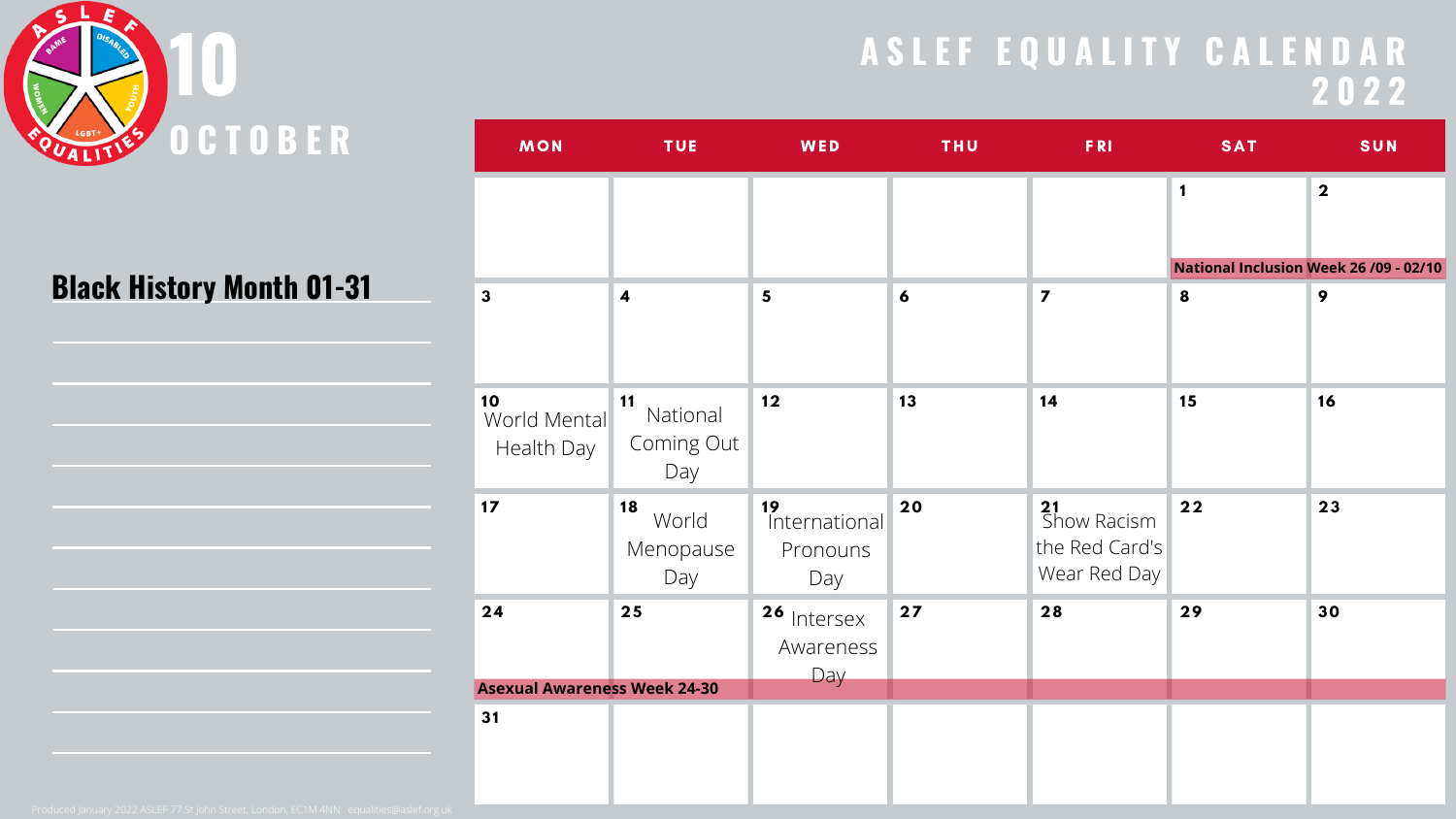

#### **Black History Month 01-31**

| and the control of the control of the control of the control of the control of the control of the control of th |  |  |
|-----------------------------------------------------------------------------------------------------------------|--|--|
|                                                                                                                 |  |  |
|                                                                                                                 |  |  |
|                                                                                                                 |  |  |
|                                                                                                                 |  |  |
|                                                                                                                 |  |  |
|                                                                                                                 |  |  |
|                                                                                                                 |  |  |
|                                                                                                                 |  |  |
|                                                                                                                 |  |  |
|                                                                                                                 |  |  |
|                                                                                                                 |  |  |
|                                                                                                                 |  |  |
|                                                                                                                 |  |  |
|                                                                                                                 |  |  |
|                                                                                                                 |  |  |
|                                                                                                                 |  |  |

| <b>MON</b>                          | <b>TUE</b>                          | WED                                    | <b>THU</b> | <b>FRI</b>                                          | <b>SAT</b>                             | <b>SUN</b>              |
|-------------------------------------|-------------------------------------|----------------------------------------|------------|-----------------------------------------------------|----------------------------------------|-------------------------|
|                                     |                                     |                                        |            |                                                     | 1                                      | $\overline{\mathbf{2}}$ |
|                                     |                                     |                                        |            |                                                     | National Inclusion Week 26 /09 - 02/10 |                         |
| $\mathbf{3}$                        | $\boldsymbol{4}$                    | $\overline{\mathbf{5}}$                | 6          | $\overline{\mathbf{z}}$                             | 8                                      | 9                       |
| 10<br>World Mental<br>Health Day    | 11<br>National<br>Coming Out<br>Day | 12                                     | 13         | 14                                                  | 15                                     | 16                      |
| 17                                  | 18<br>World<br>Menopause<br>Day     | 19<br>International<br>Pronouns<br>Day | 20         | 21<br>Show Racism<br>the Red Card's<br>Wear Red Day | $22$                                   | 23                      |
| 24                                  | 25                                  | 26 Intersex<br>Awareness<br>Day        | 27         | 28                                                  | 29                                     | 30                      |
| <b>Asexual Awareness Week 24-30</b> |                                     |                                        |            |                                                     |                                        |                         |
| 31                                  |                                     |                                        |            |                                                     |                                        |                         |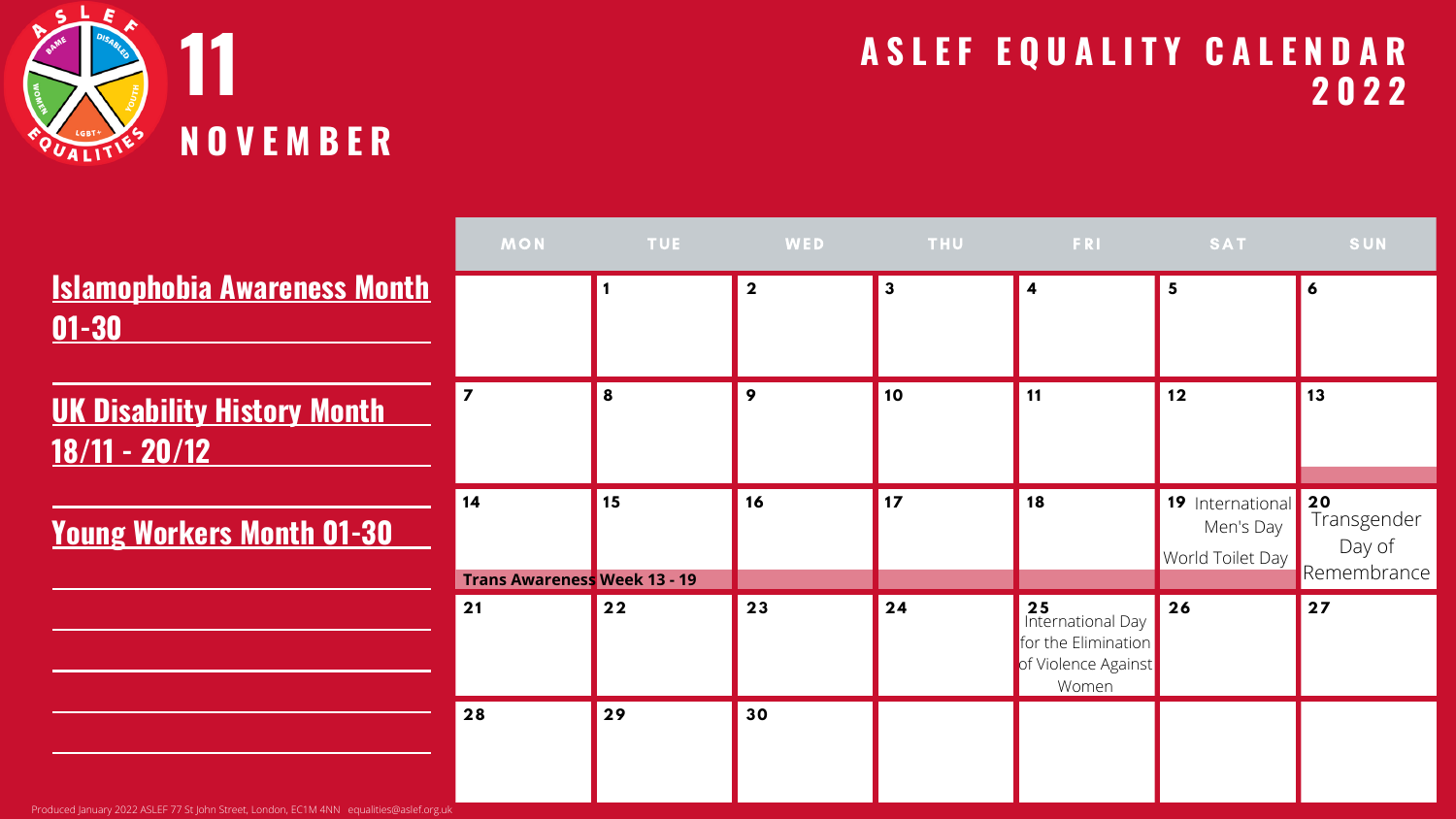

|                                                     | <b>MON</b>                                | <b>TUE</b> | WED         | <b>THU</b> | <b>FRI</b>                                                                     | <b>SAT</b>                                           | <b>SUN</b>                           |
|-----------------------------------------------------|-------------------------------------------|------------|-------------|------------|--------------------------------------------------------------------------------|------------------------------------------------------|--------------------------------------|
| <b>Islamophobia Awareness Month</b><br>$01 - 30$    |                                           |            |             |            |                                                                                | 5                                                    | $\boldsymbol{6}$                     |
| <b>UK Disability History Month</b><br>18/11 - 20/12 |                                           | 8          | $\mathbf Q$ | 10         | 11                                                                             | 12                                                   | 13                                   |
| <b>Young Workers Month 01-30</b>                    | 14<br><b>Trans Awareness Week 13 - 19</b> | 15         | 16          | 17         | 18                                                                             | 19 International 20<br>Men's Day<br>World Toilet Day | Transgender<br>Day of<br>Remembrance |
|                                                     | 21                                        | 22         | 23          | 24         | 25<br>International Day<br>for the Elimination<br>of Violence Against<br>Women | 26                                                   | 27                                   |
|                                                     | 28                                        | 29         | 30          |            |                                                                                |                                                      |                                      |

Produced January 2022 ASLEF 77 St John Street, London, EC1M 4NN equalities@aslef.org.uk